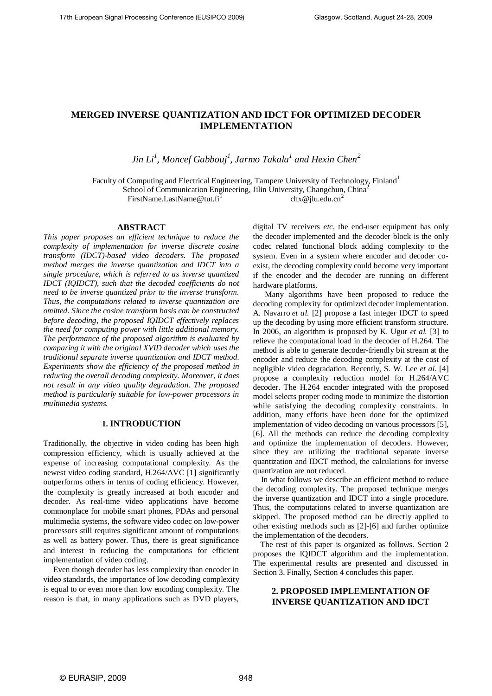# **MERGED INVERSE QUANTIZATION AND IDCT FOR OPTIMIZED DECODER IMPLEMENTATION**

*Jin Li<sup>1</sup> , Moncef Gabbouj<sup>1</sup> , Jarmo Takala<sup>1</sup> and Hexin Chen<sup>2</sup>*

Faculty of Computing and Electrical Engineering, Tampere University of Technology, Finland<sup>1</sup> School of Communication Engineering, Jilin University, Changchun, China<sup>2</sup> FirstName.LastName@tut.fi<sup>1</sup>  $chx@jlu.edu.cn<sup>2</sup>$ 

#### **ABSTRACT**

*This paper proposes an efficient technique to reduce the complexity of implementation for inverse discrete cosine transform (IDCT)-based video decoders. The proposed method merges the inverse quantization and IDCT into a single procedure, which is referred to as inverse quantized IDCT (IQIDCT), such that the decoded coefficients do not need to be inverse quantized prior to the inverse transform. Thus, the computations related to inverse quantization are omitted. Since the cosine transform basis can be constructed before decoding, the proposed IQIDCT effectively replaces the need for computing power with little additional memory. The performance of the proposed algorithm is evaluated by comparing it with the original XVID decoder which uses the traditional separate inverse quantization and IDCT method. Experiments show the efficiency of the proposed method in reducing the overall decoding complexity. Moreover, it does not result in any video quality degradation. The proposed method is particularly suitable for low-power processors in multimedia systems.* 

## **1. INTRODUCTION**

Traditionally, the objective in video coding has been high compression efficiency, which is usually achieved at the expense of increasing computational complexity. As the newest video coding standard, H.264/AVC [1] significantly outperforms others in terms of coding efficiency. However, the complexity is greatly increased at both encoder and decoder. As real-time video applications have become commonplace for mobile smart phones, PDAs and personal multimedia systems, the software video codec on low-power processors still requires significant amount of computations as well as battery power. Thus, there is great significance and interest in reducing the computations for efficient implementation of video coding.

 Even though decoder has less complexity than encoder in video standards, the importance of low decoding complexity is equal to or even more than low encoding complexity. The reason is that, in many applications such as DVD players,

digital TV receivers *etc*, the end-user equipment has only the decoder implemented and the decoder block is the only codec related functional block adding complexity to the system. Even in a system where encoder and decoder coexist, the decoding complexity could become very important if the encoder and the decoder are running on different hardware platforms.

 Many algorithms have been proposed to reduce the decoding complexity for optimized decoder implementation. A. Navarro *et al.* [2] propose a fast integer IDCT to speed up the decoding by using more efficient transform structure. In 2006, an algorithm is proposed by K. Ugur *et al.* [3] to relieve the computational load in the decoder of H.264. The method is able to generate decoder-friendly bit stream at the encoder and reduce the decoding complexity at the cost of negligible video degradation. Recently, S. W. Lee *et al.* [4] propose a complexity reduction model for H.264/AVC decoder. The H.264 encoder integrated with the proposed model selects proper coding mode to minimize the distortion while satisfying the decoding complexity constraints. In addition, many efforts have been done for the optimized implementation of video decoding on various processors [5], [6]. All the methods can reduce the decoding complexity and optimize the implementation of decoders. However, since they are utilizing the traditional separate inverse quantization and IDCT method, the calculations for inverse quantization are not reduced.

 In what follows we describe an efficient method to reduce the decoding complexity. The proposed technique merges the inverse quantization and IDCT into a single procedure. Thus, the computations related to inverse quantization are skipped. The proposed method can be directly applied to other existing methods such as [2]-[6] and further optimize the implementation of the decoders.

The rest of this paper is organized as follows. Section 2 proposes the IQIDCT algorithm and the implementation. The experimental results are presented and discussed in Section 3. Finally, Section 4 concludes this paper.

# **2. PROPOSED IMPLEMENTATION OF INVERSE QUANTIZATION AND IDCT**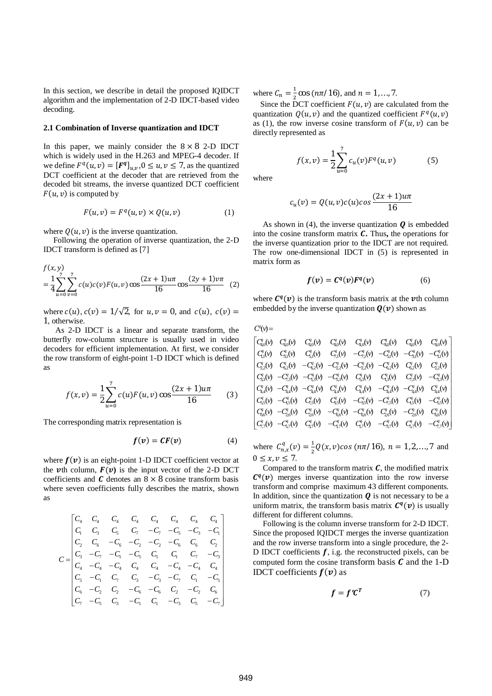In this section, we describe in detail the proposed IOIDCT algorithm and the implementation of 2-D IDCT-based video decoding.

#### 2.1 Combination of Inverse quantization and IDCT

In this paper, we mainly consider the  $8 \times 8$  2-D IDCT which is widely used in the H.263 and MPEG-4 decoder. If we define  $F^q(u, v) = [F^q]_{u,v}$ ,  $0 \le u, v \le 7$ , as the quantized DCT coefficient at the decoder that are retrieved from the decoded bit streams, the inverse quantized DCT coefficient  $F(u, v)$  is computed by

$$
F(u,v) = Fq(u,v) \times Q(u,v)
$$
 (1)

where  $Q(u, v)$  is the inverse quantization.

Following the operation of inverse quantization, the 2-D IDCT transform is defined as [7]

$$
f(x, y) = \frac{1}{4} \sum_{u=0}^{7} \sum_{v=0}^{7} c(u)c(v)F(u, v) \cos \frac{(2x+1)u\pi}{16} \cos \frac{(2y+1)v\pi}{16}
$$
 (2)

where  $c(u)$ ,  $c(v) = 1/\sqrt{2}$ , for  $u, v = 0$ , and  $c(u)$ ,  $c(v) =$ 1, otherwise.

As 2-D IDCT is a linear and separate transform, the butterfly row-column structure is usually used in video decoders for efficient implementation. At first, we consider the row transform of eight-point 1-D IDCT which is defined as

$$
f(x,v) = \frac{1}{2} \sum_{u=0}^{7} c(u) F(u,v) \cos \frac{(2x+1)u\pi}{16}
$$
 (3)

The corresponding matrix representation is

$$
f(v) = CF(v) \tag{4}
$$

where  $f(v)$  is an eight-point 1-D IDCT coefficient vector at the *v*th column,  $F(v)$  is the input vector of the 2-D DCT coefficients and  $C$  denotes an  $8 \times 8$  cosine transform basis where seven coefficients fully describes the matrix, shown **as** 

$$
C = \begin{bmatrix} C_4 & C_4 & C_4 & C_4 & C_4 & C_4 & C_4 & C_4 & C_4 \\ C_1 & C_3 & C_5 & C_7 & -C_7 & -C_5 & -C_3 & -C_1 \\ C_2 & C_6 & -C_6 & -C_2 & -C_2 & -C_6 & C_6 & C_2 \\ C_3 & -C_7 & -C_1 & -C_5 & C_5 & C_1 & C_7 & -C_3 \\ C_4 & -C_4 & -C_4 & C_4 & C_4 & -C_4 & -C_4 & C_4 \\ C_5 & -C_1 & C_7 & C_3 & -C_3 & -C_7 & C_1 & -C_5 \\ C_6 & -C_2 & C_2 & -C_6 & -C_6 & C_2 & -C_2 & C_6 \\ C_7 & -C_5 & C_3 & -C_1 & C_1 & -C_3 & C_5 & -C_7 \end{bmatrix}
$$

where  $C_n = \frac{1}{2} \cos (n\pi/16)$ , and  $n = 1, ..., 7$ .

Since the DCT coefficient  $F(u, v)$  are calculated from the quantization  $Q(u, v)$  and the quantized coefficient  $F<sup>q</sup>(u, v)$ as (1), the row inverse cosine transform of  $F(u, v)$  can be directly represented as

$$
f(x,v) = \frac{1}{2} \sum_{u=0}^{7} c_u(v) F^q(u,v)
$$
 (5)

where

$$
c_u(v) = Q(u, v)c(u)cos\frac{(2x+1)u\pi}{16}
$$

As shown in (4), the inverse quantization  $\bf{Q}$  is embedded into the cosine transform matrix  $C$ . Thus, the operations for the inverse quantization prior to the IDCT are not required. The row one-dimensional IDCT in  $(5)$  is represented in matrix form as

$$
f(v) = Cq(v)Fq(v)
$$
 (6)

where  $C^{q}(v)$  is the transform basis matrix at the *v*th column embedded by the inverse quantization  $\mathbf{Q}(v)$  shown as

 $C^q(v)$ 

$$
C_{4,0}^{q}(v) \t C_{4,0}^{q}(v) \t C_{4,0}^{q}(v) \t C_{4,0}^{q}(v) \t C_{4,0}^{q}(v) \t C_{4,0}^{q}(v) \t C_{4,0}^{q}(v) \t C_{4,0}^{q}(v) \t C_{4,0}^{q}(v) \t C_{4,0}^{q}(v) \t C_{4,0}^{q}(v) \t C_{4,0}^{q}(v) \t C_{4,0}^{q}(v) \t C_{4,0}^{q}(v) \t C_{4,0}^{q}(v) \t C_{4,0}^{q}(v) \t C_{4,0}^{q}(v) \t C_{4,0}^{q}(v) \t C_{4,0}^{q}(v) \t C_{4,0}^{q}(v) \t C_{4,0}^{q}(v) \t C_{4,0}^{q}(v) \t C_{4,0}^{q}(v) \t C_{4,0}^{q}(v) \t C_{4,0}^{q}(v) \t C_{4,1}^{q}(v) \t C_{4,1}^{q}(v) \t C_{4,1}^{q}(v) \t C_{4,1}^{q}(v) \t C_{4,1}^{q}(v) \t C_{4,1}^{q}(v) \t C_{4,1}^{q}(v) \t C_{4,1}^{q}(v) \t C_{4,1}^{q}(v) \t C_{4,1}^{q}(v) \t C_{4,1}^{q}(v) \t C_{4,1}^{q}(v) \t C_{4,1}^{q}(v) \t C_{4,1}^{q}(v) \t C_{4,1}^{q}(v) \t C_{4,1}^{q}(v) \t C_{4,1}^{q}(v) \t C_{4,1}^{q}(v) \t C_{4,1}^{q}(v) \t C_{4,1}^{q}(v) \t C_{4,1}^{q}(v) \t C_{4,1}^{q}(v) \t C_{4,1}^{q}(v) \t C_{4,1}^{q}(v) \t C_{4,1}^{q}(v) \t C_{4,1}^{q}(v) \t C_{4,1}^{q}(v) \t C_{4,1}^{q}(v) \t C_{4,1}^{q}(v) \t C_{4,1}^{q}(v) \t C_{4,1}^{q}(v) \t C_{4,1}^{q}(v) \t C_{4,1}^{q}(v) \t C_{4,1
$$

where  $C_{n,x}^q(v) = \frac{1}{2}Q(x,v)\cos{(n\pi/16)}, n = 1,2,...,7$  and  $0 \leq x, v \leq 7$ .

Compared to the transform matrix  $C$ , the modified matrix  $C<sup>q</sup>(v)$  merges inverse quantization into the row inverse transform and comprise maximum 43 different components. In addition, since the quantization  $\bf{Q}$  is not necessary to be a uniform matrix, the transform basis matrix  $C^q(v)$  is usually different for different columns.

Following is the column inverse transform for 2-D IDCT. Since the proposed IQIDCT merges the inverse quantization and the row inverse transform into a single procedure, the 2-D IDCT coefficients  $f$ , i.g. the reconstructed pixels, can be computed form the cosine transform basis  $C$  and the 1-D IDCT coefficients  $f(v)$  as

$$
f = f'C^T \tag{7}
$$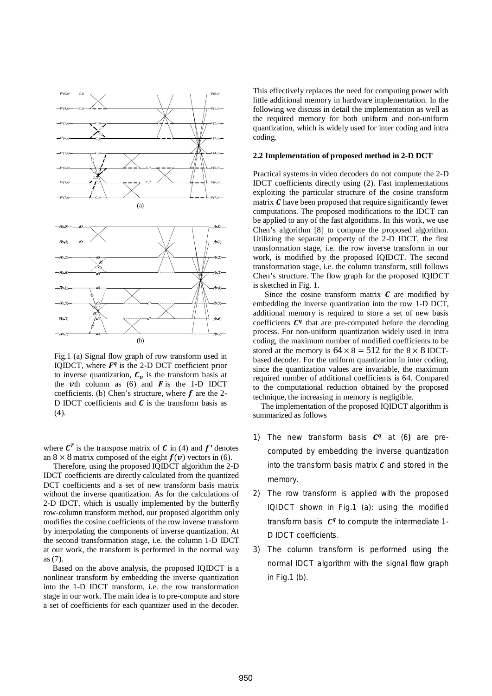



the *th column as (6) and*  $*F*$  *is the 1-D IDCT* coefficients. (b) Chen's structure, where  $f$  are the 2-D IDCT coefficients and  $C$  is the transform basis as (4).

where  $\mathbf{C}^T$  is the transpose matrix of  $\mathbf{C}$  in (4) and  $f'$  denotes an  $8 \times 8$  matrix composed of the eight  $f(v)$  vectors in (6).

 Therefore, using the proposed IQIDCT algorithm the 2-D IDCT coefficients are directly calculated from the quantized DCT coefficients and a set of new transform basis matrix without the inverse quantization. As for the calculations of 2-D IDCT, which is usually implemented by the butterfly row-column transform method, our proposed algorithm only modifies the cosine coefficients of the row inverse transform by interpolating the components of inverse quantization. At the second transformation stage, i.e. the column 1-D IDCT at our work, the transform is performed in the normal way as (7).

 Based on the above analysis, the proposed IQIDCT is a nonlinear transform by embedding the inverse quantization into the 1-D IDCT transform, i.e. the row transformation stage in our work. The main idea is to pre-compute and store a set of coefficients for each quantizer used in the decoder.

This effectively replaces the need for computing power with little additional memory in hardware implementation. In the following we discuss in detail the implementation as well as the required memory for both uniform and non-uniform quantization, which is widely used for inter coding and intra coding.

#### **2.2 Implementation of proposed method in 2-D DCT**

Practical systems in video decoders do not compute the 2-D IDCT coefficients directly using (2). Fast implementations exploiting the particular structure of the cosine transform matrix  $\boldsymbol{C}$  have been proposed that require significantly fewer computations. The proposed modifications to the IDCT can be applied to any of the fast algorithms. In this work, we use Chen's algorithm [8] to compute the proposed algorithm. Utilizing the separate property of the 2-D IDCT, the first transformation stage, i.e. the row inverse transform in our work, is modified by the proposed IQIDCT. The second transformation stage, i.e. the column transform, still follows Chen's structure. The flow graph for the proposed IQIDCT is sketched in Fig. 1.

Since the cosine transform matrix  *are modified by* embedding the inverse quantization into the row 1-D DCT, additional memory is required to store a set of new basis coefficients  $C<sup>q</sup>$  that are pre-computed before the decoding process. For non-uniform quantization widely used in intra coding, the maximum number of modified coefficients to be stored at the memory is  $64 \times 8 = 512$  for the  $8 \times 8$  IDCTbased decoder. For the uniform quantization in inter coding, since the quantization values are invariable, the maximum required number of additional coefficients is 64. Compared to the computational reduction obtained by the proposed technique, the increasing in memory is negligible.

 The implementation of the proposed IQIDCT algorithm is summarized as follows

- 1) The new transform basis  $C<sup>q</sup>$  at (6) are precomputed by embedding the inverse quantization into the transform basis matrix  *and stored in the* memory.
- 2) The row transform is applied with the proposed IQIDCT shown in Fig.1 (a): using the modified transform basis  $C<sup>q</sup>$  to compute the intermediate 1-D IDCT coefficients.
- 3) The column transform is performed using the normal IDCT algorithm with the signal flow graph in  $Fia.1$  (b).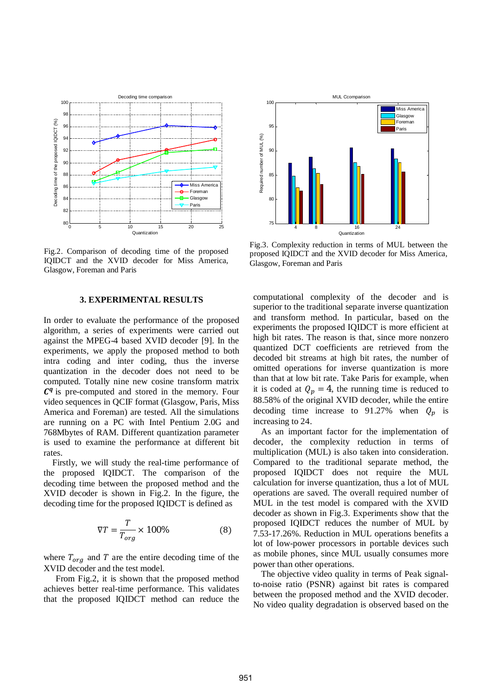

Fig.2. Comparison of decoding time of the proposed IQIDCT and the XVID decoder for Miss America, Glasgow, Foreman and Paris

# **3. EXPERIMENTAL RESULTS**

In order to evaluate the performance of the proposed algorithm, a series of experiments were carried out against the MPEG-4 based XVID decoder [9]. In the experiments, we apply the proposed method to both intra coding and inter coding, thus the inverse quantization in the decoder does not need to be computed. Totally nine new cosine transform matrix  $C<sup>q</sup>$  is pre-computed and stored in the memory. Four video sequences in QCIF format (Glasgow, Paris, Miss America and Foreman) are tested. All the simulations are running on a PC with Intel Pentium 2.0G and 768Mbytes of RAM. Different quantization parameter is used to examine the performance at different bit rates.

 Firstly, we will study the real-time performance of the proposed IQIDCT. The comparison of the decoding time between the proposed method and the XVID decoder is shown in Fig.2. In the figure, the decoding time for the proposed IQIDCT is defined as

$$
\nabla T = \frac{T}{T_{org}} \times 100\% \tag{8}
$$

where  $T_{ora}$  and T are the entire decoding time of the XVID decoder and the test model.

 From Fig.2, it is shown that the proposed method achieves better real-time performance. This validates that the proposed IQIDCT method can reduce the



Fig.3. Complexity reduction in terms of MUL between the proposed IQIDCT and the XVID decoder for Miss America, Glasgow, Foreman and Paris

computational complexity of the decoder and is superior to the traditional separate inverse quantization and transform method. In particular, based on the experiments the proposed IQIDCT is more efficient at high bit rates. The reason is that, since more nonzero quantized DCT coefficients are retrieved from the decoded bit streams at high bit rates, the number of omitted operations for inverse quantization is more than that at low bit rate. Take Paris for example, when it is coded at  $Q_p = 4$ , the running time is reduced to 88.58% of the original XVID decoder, while the entire decoding time increase to 91.27% when  $Q_p$  is increasing to 24.

As an important factor for the implementation of decoder, the complexity reduction in terms of multiplication (MUL) is also taken into consideration. Compared to the traditional separate method, the proposed IQIDCT does not require the MUL calculation for inverse quantization, thus a lot of MUL operations are saved. The overall required number of MUL in the test model is compared with the XVID decoder as shown in Fig.3. Experiments show that the proposed IQIDCT reduces the number of MUL by 7.53-17.26%. Reduction in MUL operations benefits a lot of low-power processors in portable devices such as mobile phones, since MUL usually consumes more power than other operations.

The objective video quality in terms of Peak signalto-noise ratio (PSNR) against bit rates is compared between the proposed method and the XVID decoder. No video quality degradation is observed based on the